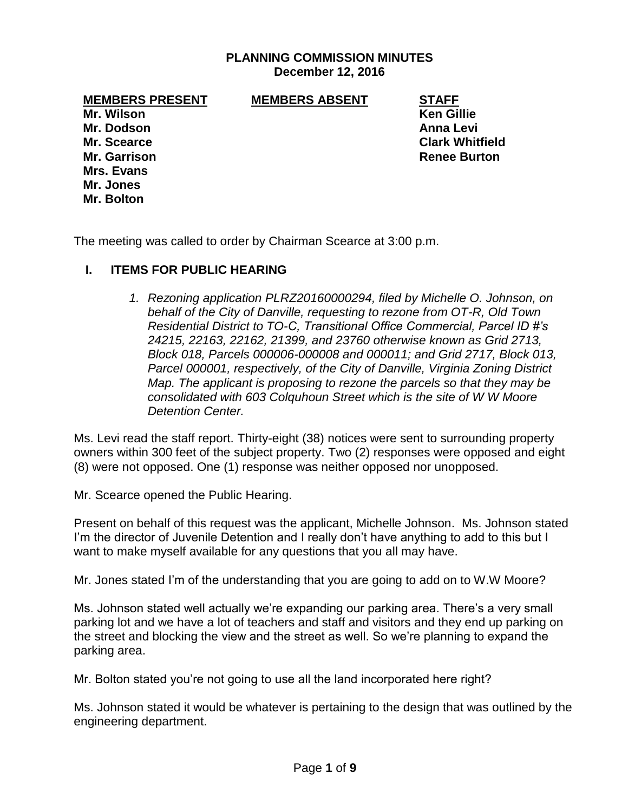#### **PLANNING COMMISSION MINUTES December 12, 2016**

**MEMBERS PRESENT MEMBERS ABSENT STAFF**

**Mr. Dodson Anna Levi Mrs. Evans Mr. Jones Mr. Bolton**

**Mr. Wilson Ken Gillie Mr. Scearce Clark Whitfield Mr. Garrison Renee Burton** 

The meeting was called to order by Chairman Scearce at 3:00 p.m.

### **I. ITEMS FOR PUBLIC HEARING**

*1. Rezoning application PLRZ20160000294, filed by Michelle O. Johnson, on behalf of the City of Danville, requesting to rezone from OT-R, Old Town Residential District to TO-C, Transitional Office Commercial, Parcel ID #'s 24215, 22163, 22162, 21399, and 23760 otherwise known as Grid 2713, Block 018, Parcels 000006-000008 and 000011; and Grid 2717, Block 013, Parcel 000001, respectively, of the City of Danville, Virginia Zoning District Map. The applicant is proposing to rezone the parcels so that they may be consolidated with 603 Colquhoun Street which is the site of W W Moore Detention Center.* 

Ms. Levi read the staff report. Thirty-eight (38) notices were sent to surrounding property owners within 300 feet of the subject property. Two (2) responses were opposed and eight (8) were not opposed. One (1) response was neither opposed nor unopposed.

Mr. Scearce opened the Public Hearing.

Present on behalf of this request was the applicant, Michelle Johnson. Ms. Johnson stated I'm the director of Juvenile Detention and I really don't have anything to add to this but I want to make myself available for any questions that you all may have.

Mr. Jones stated I'm of the understanding that you are going to add on to W.W Moore?

Ms. Johnson stated well actually we're expanding our parking area. There's a very small parking lot and we have a lot of teachers and staff and visitors and they end up parking on the street and blocking the view and the street as well. So we're planning to expand the parking area.

Mr. Bolton stated you're not going to use all the land incorporated here right?

Ms. Johnson stated it would be whatever is pertaining to the design that was outlined by the engineering department.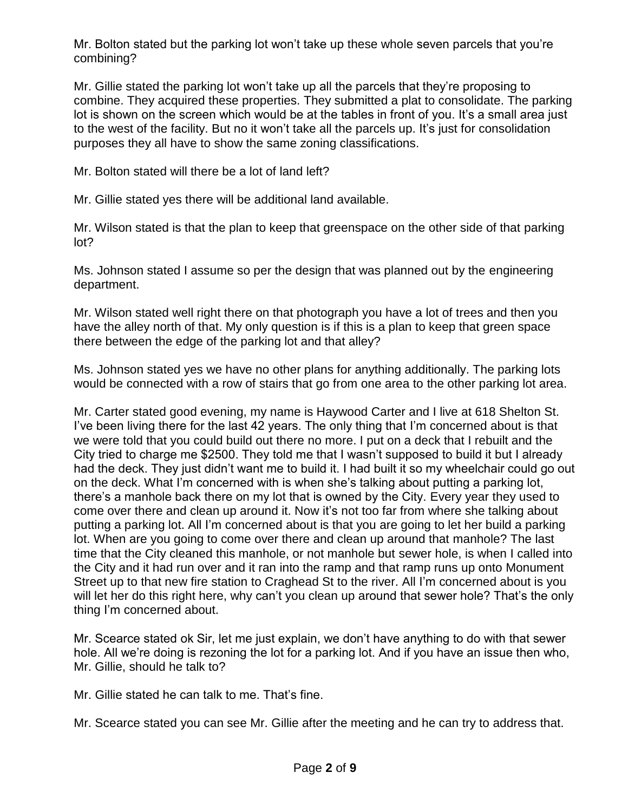Mr. Bolton stated but the parking lot won't take up these whole seven parcels that you're combining?

Mr. Gillie stated the parking lot won't take up all the parcels that they're proposing to combine. They acquired these properties. They submitted a plat to consolidate. The parking lot is shown on the screen which would be at the tables in front of you. It's a small area just to the west of the facility. But no it won't take all the parcels up. It's just for consolidation purposes they all have to show the same zoning classifications.

Mr. Bolton stated will there be a lot of land left?

Mr. Gillie stated yes there will be additional land available.

Mr. Wilson stated is that the plan to keep that greenspace on the other side of that parking lot?

Ms. Johnson stated I assume so per the design that was planned out by the engineering department.

Mr. Wilson stated well right there on that photograph you have a lot of trees and then you have the alley north of that. My only question is if this is a plan to keep that green space there between the edge of the parking lot and that alley?

Ms. Johnson stated yes we have no other plans for anything additionally. The parking lots would be connected with a row of stairs that go from one area to the other parking lot area.

Mr. Carter stated good evening, my name is Haywood Carter and I live at 618 Shelton St. I've been living there for the last 42 years. The only thing that I'm concerned about is that we were told that you could build out there no more. I put on a deck that I rebuilt and the City tried to charge me \$2500. They told me that I wasn't supposed to build it but I already had the deck. They just didn't want me to build it. I had built it so my wheelchair could go out on the deck. What I'm concerned with is when she's talking about putting a parking lot, there's a manhole back there on my lot that is owned by the City. Every year they used to come over there and clean up around it. Now it's not too far from where she talking about putting a parking lot. All I'm concerned about is that you are going to let her build a parking lot. When are you going to come over there and clean up around that manhole? The last time that the City cleaned this manhole, or not manhole but sewer hole, is when I called into the City and it had run over and it ran into the ramp and that ramp runs up onto Monument Street up to that new fire station to Craghead St to the river. All I'm concerned about is you will let her do this right here, why can't you clean up around that sewer hole? That's the only thing I'm concerned about.

Mr. Scearce stated ok Sir, let me just explain, we don't have anything to do with that sewer hole. All we're doing is rezoning the lot for a parking lot. And if you have an issue then who, Mr. Gillie, should he talk to?

Mr. Gillie stated he can talk to me. That's fine.

Mr. Scearce stated you can see Mr. Gillie after the meeting and he can try to address that.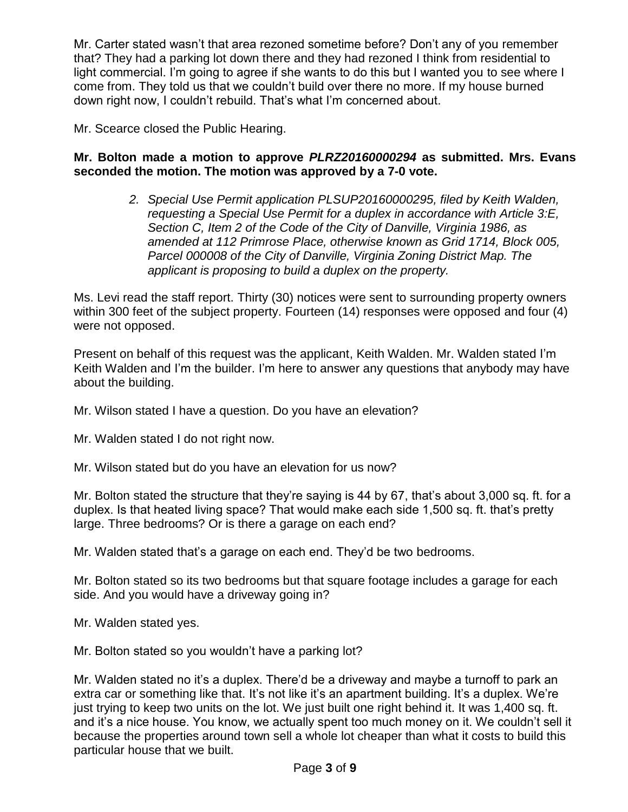Mr. Carter stated wasn't that area rezoned sometime before? Don't any of you remember that? They had a parking lot down there and they had rezoned I think from residential to light commercial. I'm going to agree if she wants to do this but I wanted you to see where I come from. They told us that we couldn't build over there no more. If my house burned down right now, I couldn't rebuild. That's what I'm concerned about.

Mr. Scearce closed the Public Hearing.

### **Mr. Bolton made a motion to approve** *PLRZ20160000294* **as submitted. Mrs. Evans seconded the motion. The motion was approved by a 7-0 vote.**

*2. Special Use Permit application PLSUP20160000295, filed by Keith Walden, requesting a Special Use Permit for a duplex in accordance with Article 3:E, Section C, Item 2 of the Code of the City of Danville, Virginia 1986, as amended at 112 Primrose Place, otherwise known as Grid 1714, Block 005, Parcel 000008 of the City of Danville, Virginia Zoning District Map. The applicant is proposing to build a duplex on the property.*

Ms. Levi read the staff report. Thirty (30) notices were sent to surrounding property owners within 300 feet of the subject property. Fourteen (14) responses were opposed and four (4) were not opposed.

Present on behalf of this request was the applicant, Keith Walden. Mr. Walden stated I'm Keith Walden and I'm the builder. I'm here to answer any questions that anybody may have about the building.

Mr. Wilson stated I have a question. Do you have an elevation?

Mr. Walden stated I do not right now.

Mr. Wilson stated but do you have an elevation for us now?

Mr. Bolton stated the structure that they're saying is 44 by 67, that's about 3,000 sq. ft. for a duplex. Is that heated living space? That would make each side 1,500 sq. ft. that's pretty large. Three bedrooms? Or is there a garage on each end?

Mr. Walden stated that's a garage on each end. They'd be two bedrooms.

Mr. Bolton stated so its two bedrooms but that square footage includes a garage for each side. And you would have a driveway going in?

Mr. Walden stated yes.

Mr. Bolton stated so you wouldn't have a parking lot?

Mr. Walden stated no it's a duplex. There'd be a driveway and maybe a turnoff to park an extra car or something like that. It's not like it's an apartment building. It's a duplex. We're just trying to keep two units on the lot. We just built one right behind it. It was 1,400 sq. ft. and it's a nice house. You know, we actually spent too much money on it. We couldn't sell it because the properties around town sell a whole lot cheaper than what it costs to build this particular house that we built.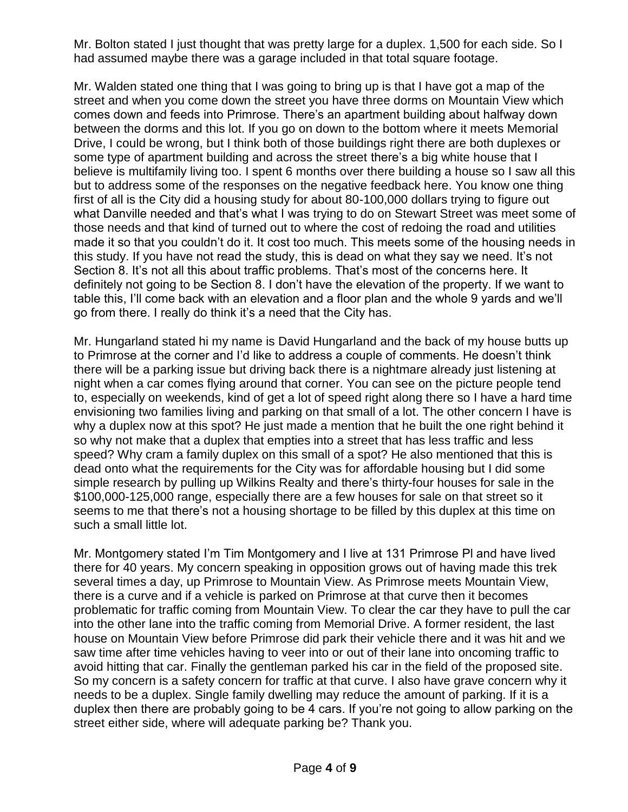Mr. Bolton stated I just thought that was pretty large for a duplex. 1,500 for each side. So I had assumed maybe there was a garage included in that total square footage.

Mr. Walden stated one thing that I was going to bring up is that I have got a map of the street and when you come down the street you have three dorms on Mountain View which comes down and feeds into Primrose. There's an apartment building about halfway down between the dorms and this lot. If you go on down to the bottom where it meets Memorial Drive, I could be wrong, but I think both of those buildings right there are both duplexes or some type of apartment building and across the street there's a big white house that I believe is multifamily living too. I spent 6 months over there building a house so I saw all this but to address some of the responses on the negative feedback here. You know one thing first of all is the City did a housing study for about 80-100,000 dollars trying to figure out what Danville needed and that's what I was trying to do on Stewart Street was meet some of those needs and that kind of turned out to where the cost of redoing the road and utilities made it so that you couldn't do it. It cost too much. This meets some of the housing needs in this study. If you have not read the study, this is dead on what they say we need. It's not Section 8. It's not all this about traffic problems. That's most of the concerns here. It definitely not going to be Section 8. I don't have the elevation of the property. If we want to table this, I'll come back with an elevation and a floor plan and the whole 9 yards and we'll go from there. I really do think it's a need that the City has.

Mr. Hungarland stated hi my name is David Hungarland and the back of my house butts up to Primrose at the corner and I'd like to address a couple of comments. He doesn't think there will be a parking issue but driving back there is a nightmare already just listening at night when a car comes flying around that corner. You can see on the picture people tend to, especially on weekends, kind of get a lot of speed right along there so I have a hard time envisioning two families living and parking on that small of a lot. The other concern I have is why a duplex now at this spot? He just made a mention that he built the one right behind it so why not make that a duplex that empties into a street that has less traffic and less speed? Why cram a family duplex on this small of a spot? He also mentioned that this is dead onto what the requirements for the City was for affordable housing but I did some simple research by pulling up Wilkins Realty and there's thirty-four houses for sale in the \$100,000-125,000 range, especially there are a few houses for sale on that street so it seems to me that there's not a housing shortage to be filled by this duplex at this time on such a small little lot.

Mr. Montgomery stated I'm Tim Montgomery and I live at 131 Primrose Pl and have lived there for 40 years. My concern speaking in opposition grows out of having made this trek several times a day, up Primrose to Mountain View. As Primrose meets Mountain View, there is a curve and if a vehicle is parked on Primrose at that curve then it becomes problematic for traffic coming from Mountain View. To clear the car they have to pull the car into the other lane into the traffic coming from Memorial Drive. A former resident, the last house on Mountain View before Primrose did park their vehicle there and it was hit and we saw time after time vehicles having to veer into or out of their lane into oncoming traffic to avoid hitting that car. Finally the gentleman parked his car in the field of the proposed site. So my concern is a safety concern for traffic at that curve. I also have grave concern why it needs to be a duplex. Single family dwelling may reduce the amount of parking. If it is a duplex then there are probably going to be 4 cars. If you're not going to allow parking on the street either side, where will adequate parking be? Thank you.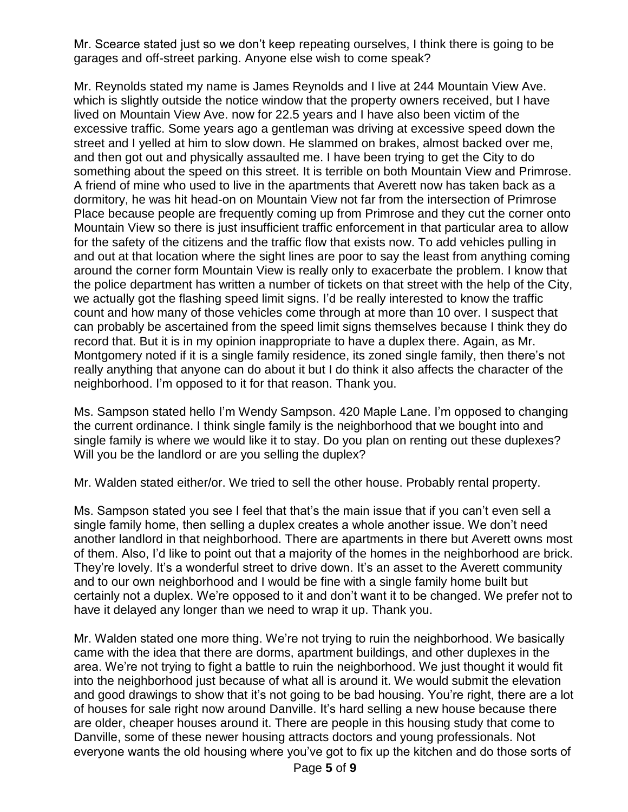Mr. Scearce stated just so we don't keep repeating ourselves, I think there is going to be garages and off-street parking. Anyone else wish to come speak?

Mr. Reynolds stated my name is James Reynolds and I live at 244 Mountain View Ave. which is slightly outside the notice window that the property owners received, but I have lived on Mountain View Ave. now for 22.5 years and I have also been victim of the excessive traffic. Some years ago a gentleman was driving at excessive speed down the street and I yelled at him to slow down. He slammed on brakes, almost backed over me, and then got out and physically assaulted me. I have been trying to get the City to do something about the speed on this street. It is terrible on both Mountain View and Primrose. A friend of mine who used to live in the apartments that Averett now has taken back as a dormitory, he was hit head-on on Mountain View not far from the intersection of Primrose Place because people are frequently coming up from Primrose and they cut the corner onto Mountain View so there is just insufficient traffic enforcement in that particular area to allow for the safety of the citizens and the traffic flow that exists now. To add vehicles pulling in and out at that location where the sight lines are poor to say the least from anything coming around the corner form Mountain View is really only to exacerbate the problem. I know that the police department has written a number of tickets on that street with the help of the City, we actually got the flashing speed limit signs. I'd be really interested to know the traffic count and how many of those vehicles come through at more than 10 over. I suspect that can probably be ascertained from the speed limit signs themselves because I think they do record that. But it is in my opinion inappropriate to have a duplex there. Again, as Mr. Montgomery noted if it is a single family residence, its zoned single family, then there's not really anything that anyone can do about it but I do think it also affects the character of the neighborhood. I'm opposed to it for that reason. Thank you.

Ms. Sampson stated hello I'm Wendy Sampson. 420 Maple Lane. I'm opposed to changing the current ordinance. I think single family is the neighborhood that we bought into and single family is where we would like it to stay. Do you plan on renting out these duplexes? Will you be the landlord or are you selling the duplex?

Mr. Walden stated either/or. We tried to sell the other house. Probably rental property.

Ms. Sampson stated you see I feel that that's the main issue that if you can't even sell a single family home, then selling a duplex creates a whole another issue. We don't need another landlord in that neighborhood. There are apartments in there but Averett owns most of them. Also, I'd like to point out that a majority of the homes in the neighborhood are brick. They're lovely. It's a wonderful street to drive down. It's an asset to the Averett community and to our own neighborhood and I would be fine with a single family home built but certainly not a duplex. We're opposed to it and don't want it to be changed. We prefer not to have it delayed any longer than we need to wrap it up. Thank you.

Mr. Walden stated one more thing. We're not trying to ruin the neighborhood. We basically came with the idea that there are dorms, apartment buildings, and other duplexes in the area. We're not trying to fight a battle to ruin the neighborhood. We just thought it would fit into the neighborhood just because of what all is around it. We would submit the elevation and good drawings to show that it's not going to be bad housing. You're right, there are a lot of houses for sale right now around Danville. It's hard selling a new house because there are older, cheaper houses around it. There are people in this housing study that come to Danville, some of these newer housing attracts doctors and young professionals. Not everyone wants the old housing where you've got to fix up the kitchen and do those sorts of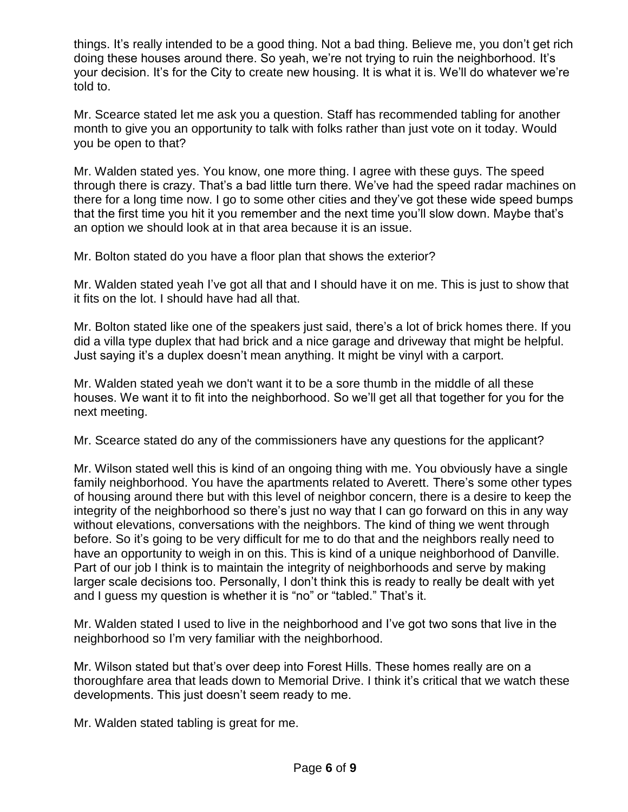things. It's really intended to be a good thing. Not a bad thing. Believe me, you don't get rich doing these houses around there. So yeah, we're not trying to ruin the neighborhood. It's your decision. It's for the City to create new housing. It is what it is. We'll do whatever we're told to.

Mr. Scearce stated let me ask you a question. Staff has recommended tabling for another month to give you an opportunity to talk with folks rather than just vote on it today. Would you be open to that?

Mr. Walden stated yes. You know, one more thing. I agree with these guys. The speed through there is crazy. That's a bad little turn there. We've had the speed radar machines on there for a long time now. I go to some other cities and they've got these wide speed bumps that the first time you hit it you remember and the next time you'll slow down. Maybe that's an option we should look at in that area because it is an issue.

Mr. Bolton stated do you have a floor plan that shows the exterior?

Mr. Walden stated yeah I've got all that and I should have it on me. This is just to show that it fits on the lot. I should have had all that.

Mr. Bolton stated like one of the speakers just said, there's a lot of brick homes there. If you did a villa type duplex that had brick and a nice garage and driveway that might be helpful. Just saying it's a duplex doesn't mean anything. It might be vinyl with a carport.

Mr. Walden stated yeah we don't want it to be a sore thumb in the middle of all these houses. We want it to fit into the neighborhood. So we'll get all that together for you for the next meeting.

Mr. Scearce stated do any of the commissioners have any questions for the applicant?

Mr. Wilson stated well this is kind of an ongoing thing with me. You obviously have a single family neighborhood. You have the apartments related to Averett. There's some other types of housing around there but with this level of neighbor concern, there is a desire to keep the integrity of the neighborhood so there's just no way that I can go forward on this in any way without elevations, conversations with the neighbors. The kind of thing we went through before. So it's going to be very difficult for me to do that and the neighbors really need to have an opportunity to weigh in on this. This is kind of a unique neighborhood of Danville. Part of our job I think is to maintain the integrity of neighborhoods and serve by making larger scale decisions too. Personally, I don't think this is ready to really be dealt with yet and I guess my question is whether it is "no" or "tabled." That's it.

Mr. Walden stated I used to live in the neighborhood and I've got two sons that live in the neighborhood so I'm very familiar with the neighborhood.

Mr. Wilson stated but that's over deep into Forest Hills. These homes really are on a thoroughfare area that leads down to Memorial Drive. I think it's critical that we watch these developments. This just doesn't seem ready to me.

Mr. Walden stated tabling is great for me.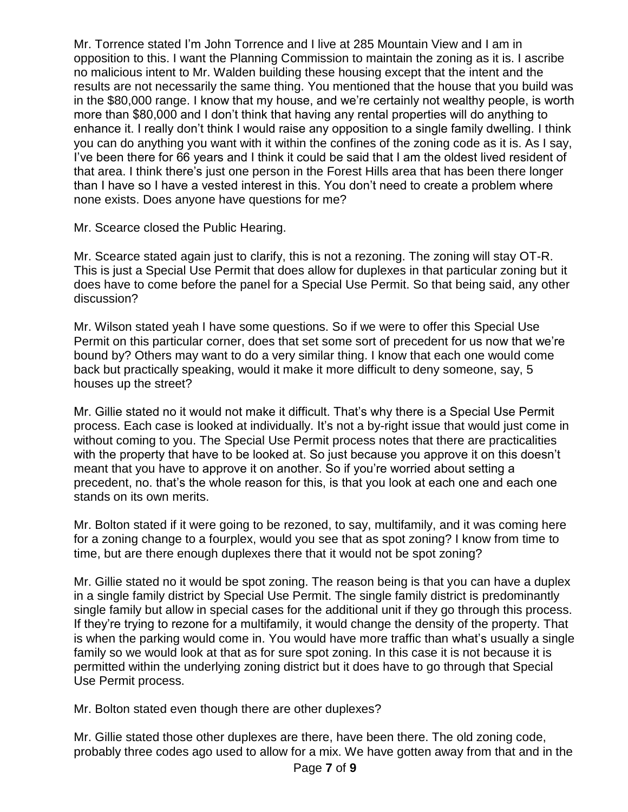Mr. Torrence stated I'm John Torrence and I live at 285 Mountain View and I am in opposition to this. I want the Planning Commission to maintain the zoning as it is. I ascribe no malicious intent to Mr. Walden building these housing except that the intent and the results are not necessarily the same thing. You mentioned that the house that you build was in the \$80,000 range. I know that my house, and we're certainly not wealthy people, is worth more than \$80,000 and I don't think that having any rental properties will do anything to enhance it. I really don't think I would raise any opposition to a single family dwelling. I think you can do anything you want with it within the confines of the zoning code as it is. As I say, I've been there for 66 years and I think it could be said that I am the oldest lived resident of that area. I think there's just one person in the Forest Hills area that has been there longer than I have so I have a vested interest in this. You don't need to create a problem where none exists. Does anyone have questions for me?

Mr. Scearce closed the Public Hearing.

Mr. Scearce stated again just to clarify, this is not a rezoning. The zoning will stay OT-R. This is just a Special Use Permit that does allow for duplexes in that particular zoning but it does have to come before the panel for a Special Use Permit. So that being said, any other discussion?

Mr. Wilson stated yeah I have some questions. So if we were to offer this Special Use Permit on this particular corner, does that set some sort of precedent for us now that we're bound by? Others may want to do a very similar thing. I know that each one would come back but practically speaking, would it make it more difficult to deny someone, say, 5 houses up the street?

Mr. Gillie stated no it would not make it difficult. That's why there is a Special Use Permit process. Each case is looked at individually. It's not a by-right issue that would just come in without coming to you. The Special Use Permit process notes that there are practicalities with the property that have to be looked at. So just because you approve it on this doesn't meant that you have to approve it on another. So if you're worried about setting a precedent, no. that's the whole reason for this, is that you look at each one and each one stands on its own merits.

Mr. Bolton stated if it were going to be rezoned, to say, multifamily, and it was coming here for a zoning change to a fourplex, would you see that as spot zoning? I know from time to time, but are there enough duplexes there that it would not be spot zoning?

Mr. Gillie stated no it would be spot zoning. The reason being is that you can have a duplex in a single family district by Special Use Permit. The single family district is predominantly single family but allow in special cases for the additional unit if they go through this process. If they're trying to rezone for a multifamily, it would change the density of the property. That is when the parking would come in. You would have more traffic than what's usually a single family so we would look at that as for sure spot zoning. In this case it is not because it is permitted within the underlying zoning district but it does have to go through that Special Use Permit process.

Mr. Bolton stated even though there are other duplexes?

Mr. Gillie stated those other duplexes are there, have been there. The old zoning code, probably three codes ago used to allow for a mix. We have gotten away from that and in the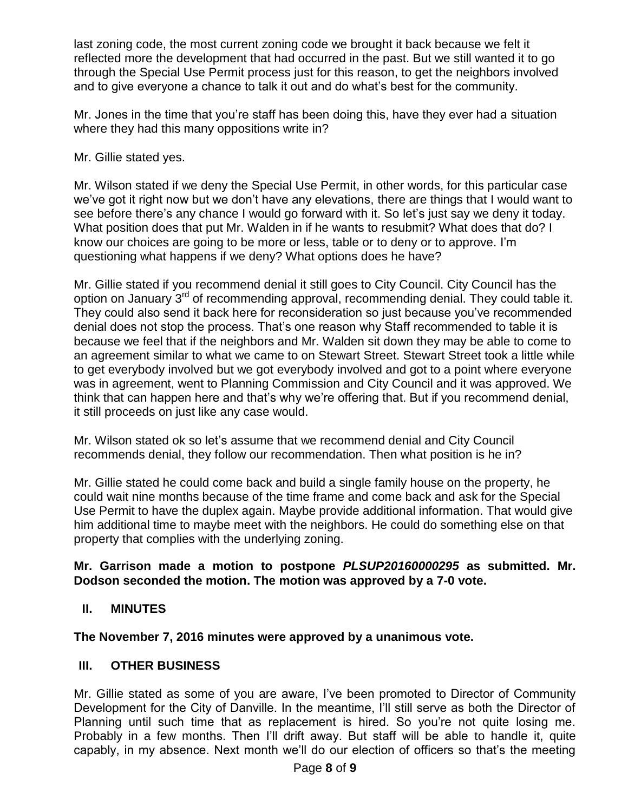last zoning code, the most current zoning code we brought it back because we felt it reflected more the development that had occurred in the past. But we still wanted it to go through the Special Use Permit process just for this reason, to get the neighbors involved and to give everyone a chance to talk it out and do what's best for the community.

Mr. Jones in the time that you're staff has been doing this, have they ever had a situation where they had this many oppositions write in?

Mr. Gillie stated yes.

Mr. Wilson stated if we deny the Special Use Permit, in other words, for this particular case we've got it right now but we don't have any elevations, there are things that I would want to see before there's any chance I would go forward with it. So let's just say we deny it today. What position does that put Mr. Walden in if he wants to resubmit? What does that do? I know our choices are going to be more or less, table or to deny or to approve. I'm questioning what happens if we deny? What options does he have?

Mr. Gillie stated if you recommend denial it still goes to City Council. City Council has the option on January 3<sup>rd</sup> of recommending approval, recommending denial. They could table it. They could also send it back here for reconsideration so just because you've recommended denial does not stop the process. That's one reason why Staff recommended to table it is because we feel that if the neighbors and Mr. Walden sit down they may be able to come to an agreement similar to what we came to on Stewart Street. Stewart Street took a little while to get everybody involved but we got everybody involved and got to a point where everyone was in agreement, went to Planning Commission and City Council and it was approved. We think that can happen here and that's why we're offering that. But if you recommend denial, it still proceeds on just like any case would.

Mr. Wilson stated ok so let's assume that we recommend denial and City Council recommends denial, they follow our recommendation. Then what position is he in?

Mr. Gillie stated he could come back and build a single family house on the property, he could wait nine months because of the time frame and come back and ask for the Special Use Permit to have the duplex again. Maybe provide additional information. That would give him additional time to maybe meet with the neighbors. He could do something else on that property that complies with the underlying zoning.

## **Mr. Garrison made a motion to postpone** *PLSUP20160000295* **as submitted. Mr. Dodson seconded the motion. The motion was approved by a 7-0 vote.**

# **II. MINUTES**

**The November 7, 2016 minutes were approved by a unanimous vote.**

### **III. OTHER BUSINESS**

Mr. Gillie stated as some of you are aware, I've been promoted to Director of Community Development for the City of Danville. In the meantime, I'll still serve as both the Director of Planning until such time that as replacement is hired. So you're not quite losing me. Probably in a few months. Then I'll drift away. But staff will be able to handle it, quite capably, in my absence. Next month we'll do our election of officers so that's the meeting